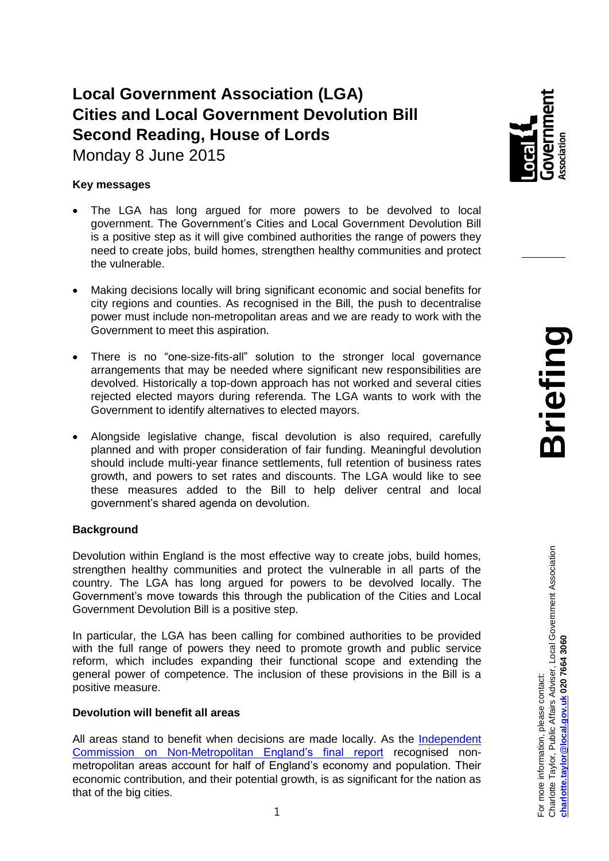# **Local Government Association (LGA) Cities and Local Government Devolution Bill Second Reading, House of Lords**

Monday 8 June 2015

## **Key messages**

- The LGA has long argued for more powers to be devolved to local government. The Government's Cities and Local Government Devolution Bill is a positive step as it will give combined authorities the range of powers they need to create jobs, build homes, strengthen healthy communities and protect the vulnerable.
- Making decisions locally will bring significant economic and social benefits for city regions and counties. As recognised in the Bill, the push to decentralise power must include non-metropolitan areas and we are ready to work with the Government to meet this aspiration.
- There is no "one-size-fits-all" solution to the stronger local governance arrangements that may be needed where significant new responsibilities are devolved. Historically a top-down approach has not worked and several cities rejected elected mayors during referenda. The LGA wants to work with the Government to identify alternatives to elected mayors.
- Alongside legislative change, fiscal devolution is also required, carefully planned and with proper consideration of fair funding. Meaningful devolution should include multi-year finance settlements, full retention of business rates growth, and powers to set rates and discounts. The LGA would like to see these measures added to the Bill to help deliver central and local government's shared agenda on devolution.

# **Background**

Devolution within England is the most effective way to create jobs, build homes, strengthen healthy communities and protect the vulnerable in all parts of the country. The LGA has long argued for powers to be devolved locally. The Government's move towards this through the publication of the Cities and Local Government Devolution Bill is a positive step.

In particular, the LGA has been calling for combined authorities to be provided with the full range of powers they need to promote growth and public service reform, which includes expanding their functional scope and extending the general power of competence. The inclusion of these provisions in the Bill is a positive measure.

## **Devolution will benefit all areas**

All areas stand to benefit when decisions are made locally. As the [Independent](http://www.local.gov.uk/documents/10180/6869714/Devolution+to+Non-Metropolitan+England+-+Seven+steps+to+growth+and+prosperity.pdf/d2154c5b-230d-4680-905f-6c06b49e268c)  [Commission on Non-Metropolitan England's final report](http://www.local.gov.uk/documents/10180/6869714/Devolution+to+Non-Metropolitan+England+-+Seven+steps+to+growth+and+prosperity.pdf/d2154c5b-230d-4680-905f-6c06b49e268c) recognised nonmetropolitan areas account for half of England's economy and population. Their economic contribution, and their potential growth, is as significant for the nation as that of the big cities.

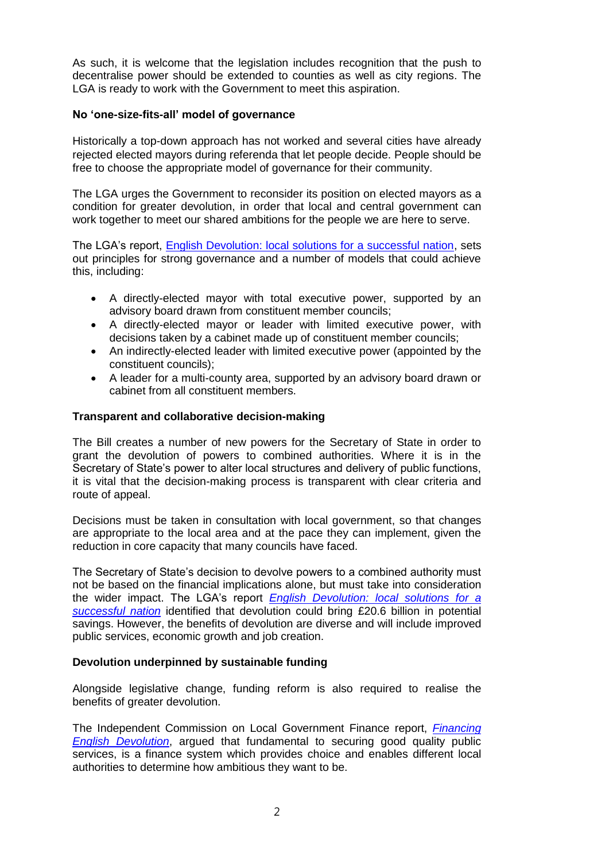As such, it is welcome that the legislation includes recognition that the push to decentralise power should be extended to counties as well as city regions. The LGA is ready to work with the Government to meet this aspiration.

#### **No 'one-size-fits-all' model of governance**

Historically a top-down approach has not worked and several cities have already rejected elected mayors during referenda that let people decide. People should be free to choose the appropriate model of governance for their community.

The LGA urges the Government to reconsider its position on elected mayors as a condition for greater devolution, in order that local and central government can work together to meet our shared ambitions for the people we are here to serve.

The LGA's report, [English Devolution: local solutions for a successful nation,](http://www.local.gov.uk/documents/10180/6917361/L15-178+DevoNext+devolution+publication/7e036308-6ebc-4f20-8d26-d6e2cd7f6eb2) sets out principles for strong governance and a number of models that could achieve this, including:

- A directly-elected mayor with total executive power, supported by an advisory board drawn from constituent member councils;
- A directly-elected mayor or leader with limited executive power, with decisions taken by a cabinet made up of constituent member councils;
- An indirectly-elected leader with limited executive power (appointed by the constituent councils);
- A leader for a multi-county area, supported by an advisory board drawn or cabinet from all constituent members.

#### **Transparent and collaborative decision-making**

The Bill creates a number of new powers for the Secretary of State in order to grant the devolution of powers to combined authorities. Where it is in the Secretary of State's power to alter local structures and delivery of public functions, it is vital that the decision-making process is transparent with clear criteria and route of appeal.

Decisions must be taken in consultation with local government, so that changes are appropriate to the local area and at the pace they can implement, given the reduction in core capacity that many councils have faced.

The Secretary of State's decision to devolve powers to a combined authority must not be based on the financial implications alone, but must take into consideration the wider impact. The LGA's report *[English Devolution: local solutions for a](http://www.local.gov.uk/documents/10180/6917361/L15-178+DevoNext+devolution+publication/7e036308-6ebc-4f20-8d26-d6e2cd7f6eb2)  [successful nation](http://www.local.gov.uk/documents/10180/6917361/L15-178+DevoNext+devolution+publication/7e036308-6ebc-4f20-8d26-d6e2cd7f6eb2)* identified that devolution could bring £20.6 billion in potential savings. However, the benefits of devolution are diverse and will include improved public services, economic growth and job creation.

## **Devolution underpinned by sustainable funding**

Alongside legislative change, funding reform is also required to realise the benefits of greater devolution.

The Independent Commission on Local Government Finance report, *[Financing](http://www.localfinancecommission.org/documents/iclgf-final-report)  [English Devolution](http://www.localfinancecommission.org/documents/iclgf-final-report)*, argued that fundamental to securing good quality public services, is a finance system which provides choice and enables different local authorities to determine how ambitious they want to be.